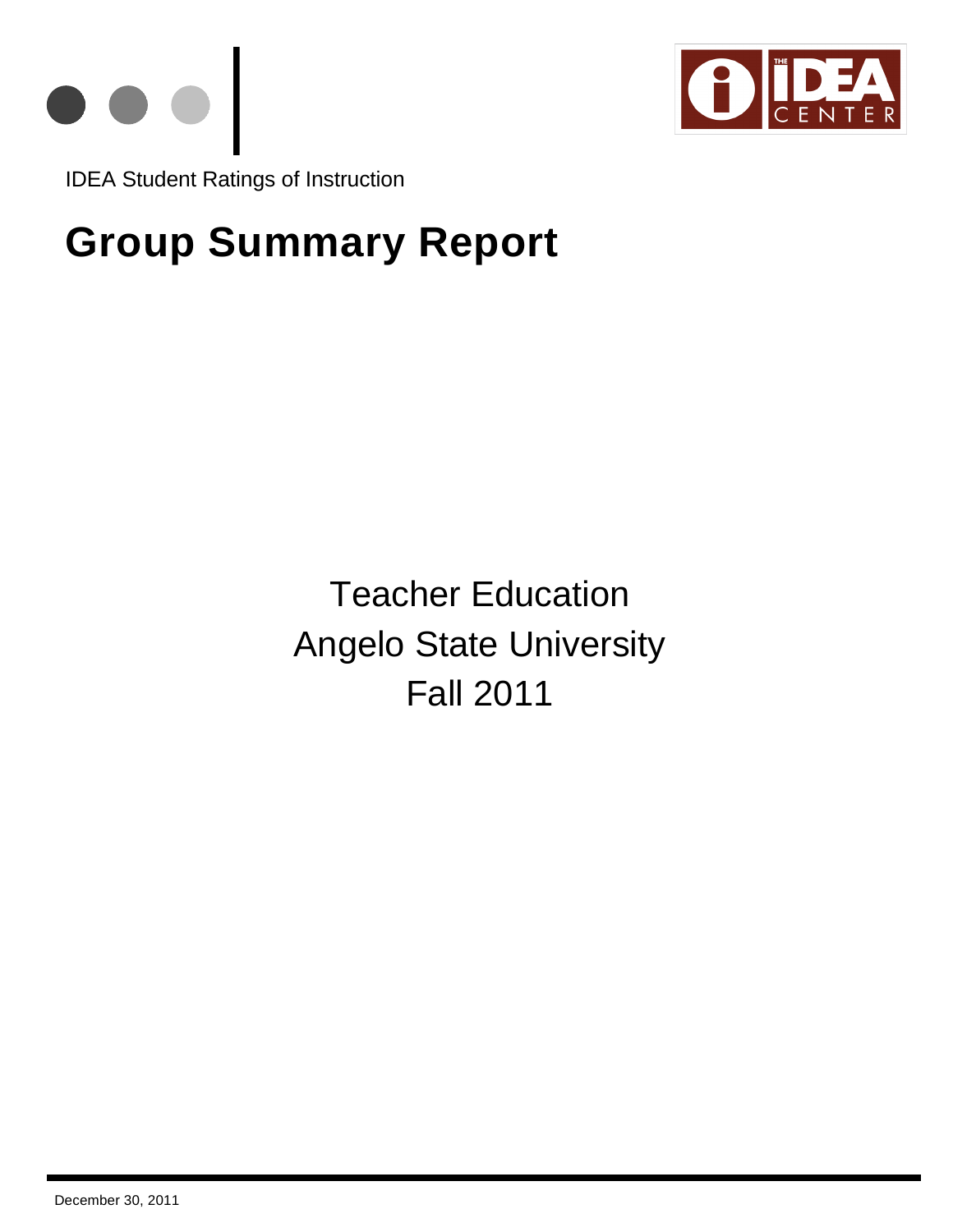



IDEA Student Ratings of Instruction

# **Group Summary Report**

Teacher Education Angelo State University Fall 2011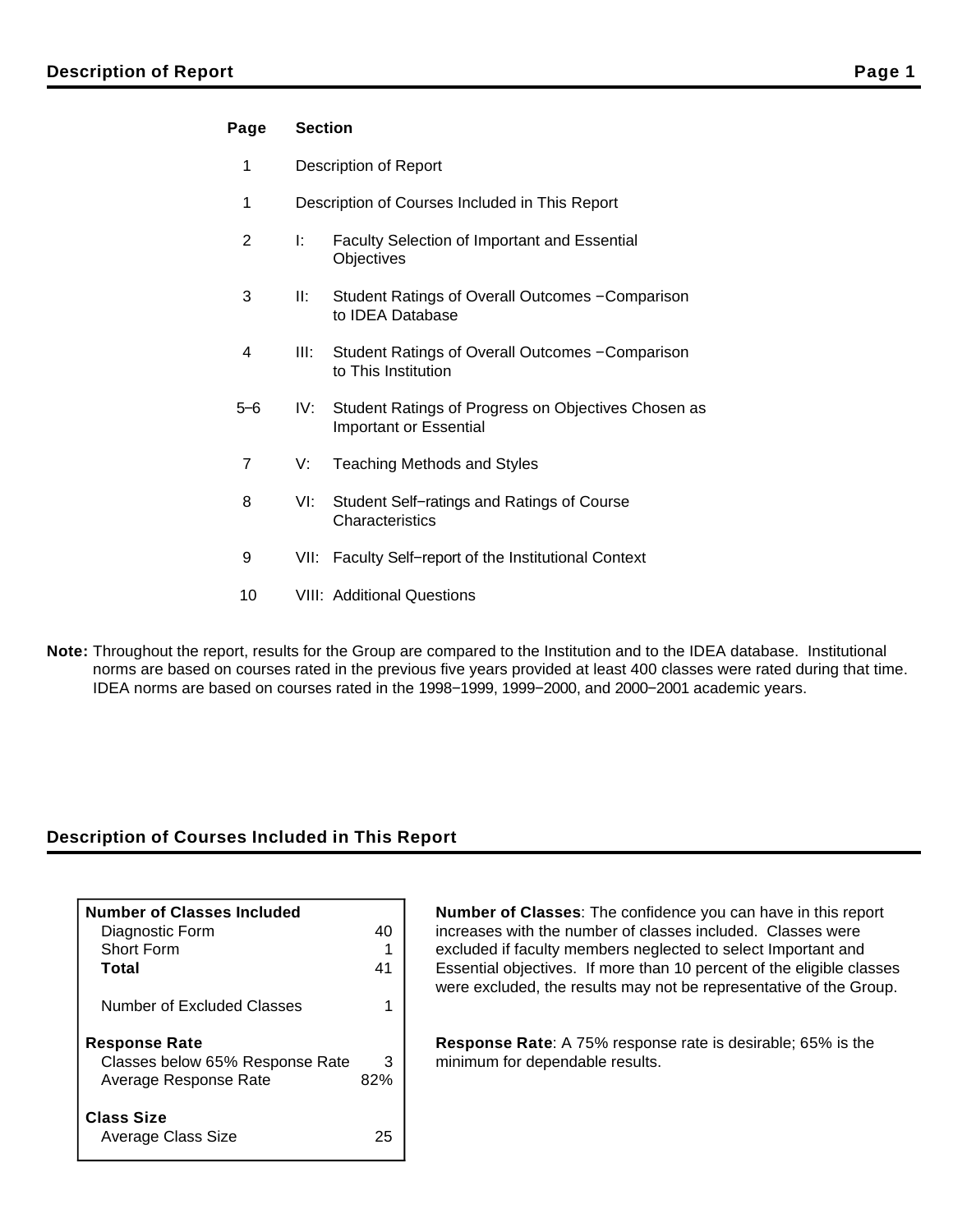## **Page Section**

- 1 Description of Report
- 1 Description of Courses Included in This Report
- 2 I: Faculty Selection of Important and Essential **Objectives**
- 3 II: Student Ratings of Overall Outcomes − Comparison to IDEA Database
- 4 III: Student Ratings of Overall Outcomes − Comparison to This Institution
- 5−6 IV: Student Ratings of Progress on Objectives Chosen as Important or Essential
- 7 V: Teaching Methods and Styles
- 8 VI: Student Self−ratings and Ratings of Course **Characteristics**
- 9 VII: Faculty Self–report of the Institutional Context
- 10 VIII: Additional Questions
- **Note:** Throughout the report, results for the Group are compared to the Institution and to the IDEA database. Institutional norms are based on courses rated in the previous five years provided at least 400 classes were rated during that time. IDEA norms are based on courses rated in the 1998−1999, 1999−2000, and 2000−2001 academic years.

## **Description of Courses Included in This Report**

| <b>Number of Classes Included</b> |     |
|-----------------------------------|-----|
| Diagnostic Form                   | 40  |
| Short Form                        | 41  |
| Total                             |     |
| Number of Excluded Classes        |     |
| <b>Response Rate</b>              |     |
| Classes below 65% Response Rate   | З   |
| Average Response Rate             | 82% |
| <b>Class Size</b>                 |     |
| Average Class Size                | 7.  |

**Number of Classes**: The confidence you can have in this report increases with the number of classes included. Classes were excluded if faculty members neglected to select Important and Essential objectives. If more than 10 percent of the eligible classes were excluded, the results may not be representative of the Group.

**Response Rate**: A 75% response rate is desirable; 65% is the minimum for dependable results.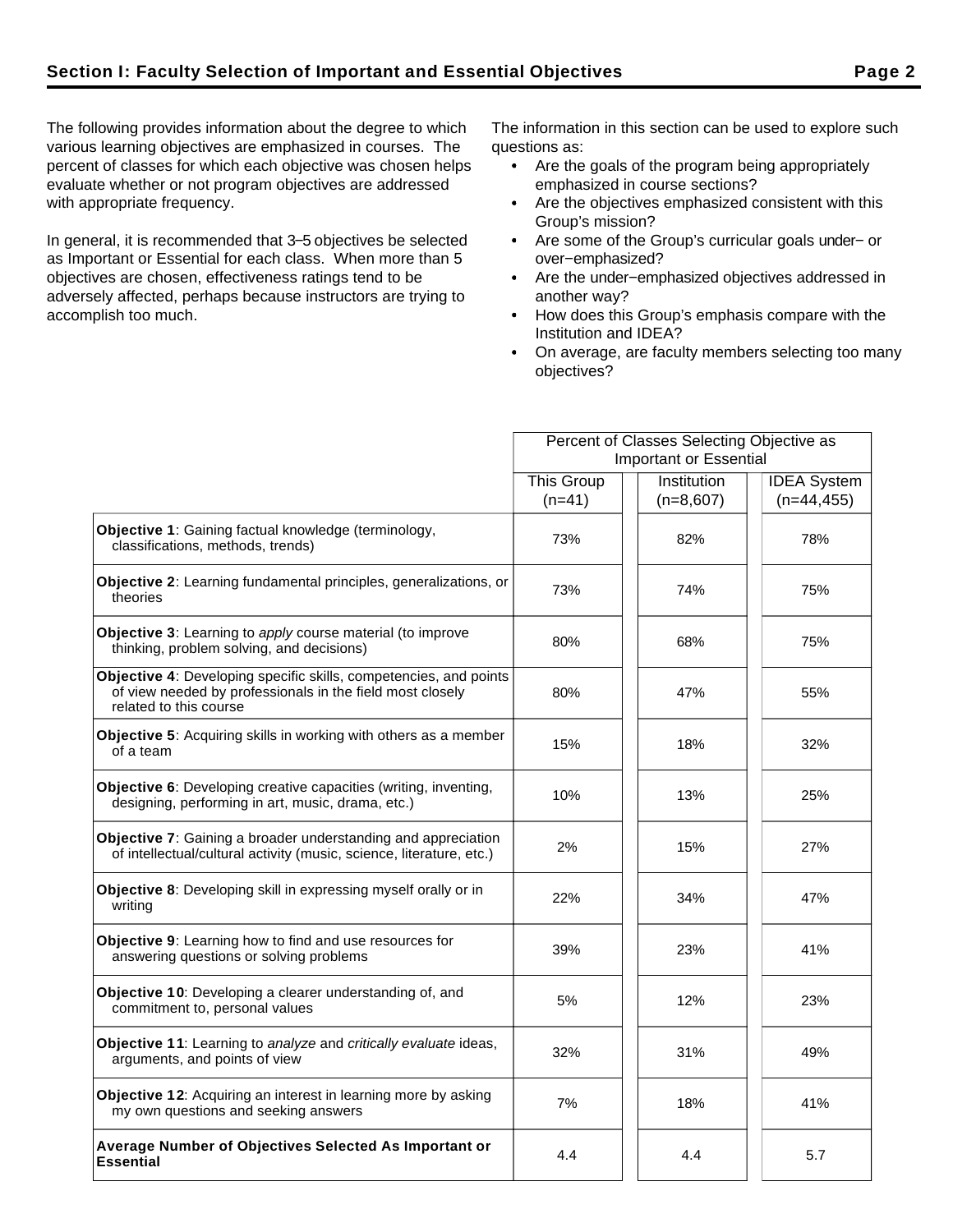The following provides information about the degree to which various learning objectives are emphasized in courses. The percent of classes for which each objective was chosen helps evaluate whether or not program objectives are addressed with appropriate frequency.

In general, it is recommended that 3−5 objectives be selected as Important or Essential for each class. When more than 5 objectives are chosen, effectiveness ratings tend to be adversely affected, perhaps because instructors are trying to accomplish too much.

The information in this section can be used to explore such questions as:

- Are the goals of the program being appropriately emphasized in course sections?
- Are the objectives emphasized consistent with this Group's mission?
- Are some of the Group's curricular goals under− or over−emphasized?
- Are the under−emphasized objectives addressed in another way?
- How does this Group's emphasis compare with the Institution and IDEA?
- On average, are faculty members selecting too many objectives?

|                                                                                                                                                          |                        | Percent of Classes Selecting Objective as |                    |  |  |
|----------------------------------------------------------------------------------------------------------------------------------------------------------|------------------------|-------------------------------------------|--------------------|--|--|
|                                                                                                                                                          | Important or Essential |                                           |                    |  |  |
|                                                                                                                                                          | <b>This Group</b>      | Institution                               | <b>IDEA</b> System |  |  |
|                                                                                                                                                          | $(n=41)$               | $(n=8,607)$                               | $(n=44, 455)$      |  |  |
| Objective 1: Gaining factual knowledge (terminology,<br>classifications, methods, trends)                                                                | 73%                    | 82%                                       | 78%                |  |  |
| Objective 2: Learning fundamental principles, generalizations, or<br>theories                                                                            | 73%                    | 74%                                       | 75%                |  |  |
| <b>Objective 3:</b> Learning to apply course material (to improve<br>thinking, problem solving, and decisions)                                           | 80%                    | 68%                                       | 75%                |  |  |
| Objective 4: Developing specific skills, competencies, and points<br>of view needed by professionals in the field most closely<br>related to this course | 80%                    | 47%                                       | 55%                |  |  |
| Objective 5: Acquiring skills in working with others as a member<br>of a team                                                                            | 15%                    | 18%                                       | 32%                |  |  |
| Objective 6: Developing creative capacities (writing, inventing,<br>designing, performing in art, music, drama, etc.)                                    | 10%                    | 13%                                       | 25%                |  |  |
| Objective 7: Gaining a broader understanding and appreciation<br>of intellectual/cultural activity (music, science, literature, etc.)                    | 2%                     | 15%                                       | 27%                |  |  |
| Objective 8: Developing skill in expressing myself orally or in<br>writing                                                                               | 22%                    | 34%                                       | 47%                |  |  |
| Objective 9: Learning how to find and use resources for<br>answering questions or solving problems                                                       | 39%                    | 23%                                       | 41%                |  |  |
| Objective 10: Developing a clearer understanding of, and<br>commitment to, personal values                                                               | 5%                     | 12%                                       | 23%                |  |  |
| Objective 11: Learning to analyze and critically evaluate ideas,<br>arguments, and points of view                                                        | 32%                    | 31%                                       | 49%                |  |  |
| Objective 12: Acquiring an interest in learning more by asking<br>my own questions and seeking answers                                                   | 7%                     | 18%                                       | 41%                |  |  |
| Average Number of Objectives Selected As Important or<br><b>Essential</b>                                                                                | 4.4                    | 4.4                                       | 5.7                |  |  |
|                                                                                                                                                          |                        |                                           |                    |  |  |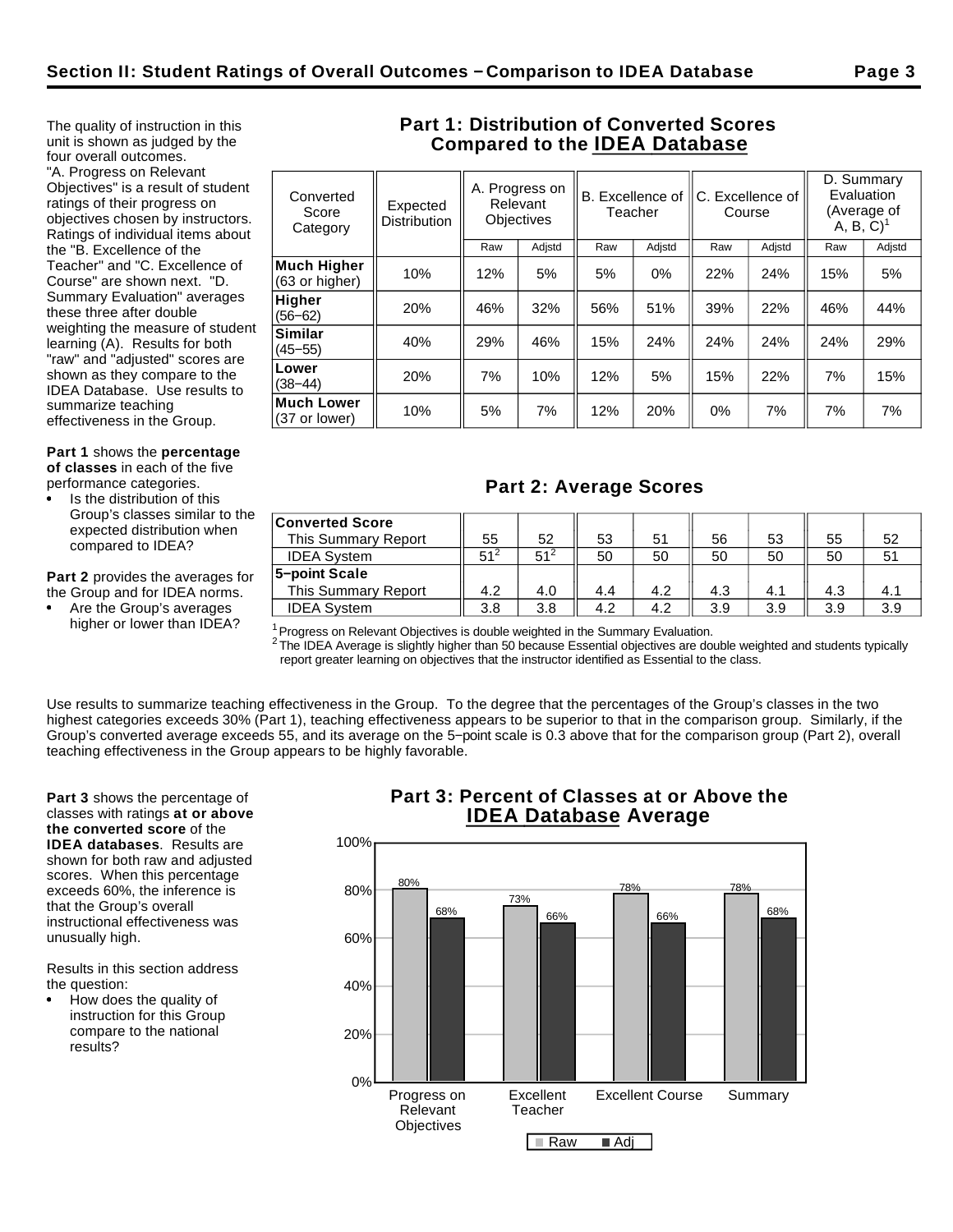The quality of instruction in this unit is shown as judged by the four overall outcomes. "A. Progress on Relevant Objectives" is a result of student ratings of their progress on objectives chosen by instructors. Ratings of individual items about the "B. Excellence of the Teacher" and "C. Excellence of Course" are shown next. "D. Summary Evaluation" averages these three after double weighting the measure of student learning (A). Results for both "raw" and "adjusted" scores are shown as they compare to the IDEA Database. Use results to summarize teaching

effectiveness in the Group.

**Part 1** shows the **percentage of classes** in each of the five performance categories.

Is the distribution of this Group's classes similar to the expected distribution when

**Part 2** provides the averages for the Group and for IDEA norms.

Are the Group's averages

compared to IDEA?

higher or lower than IDEA?

## **Part 1: Distribution of Converted Scores Compared to the IDEA Database**

| Converted<br>Score<br>Category | Expected<br><b>Distribution</b> |     | A. Progress on<br>Relevant<br><b>Objectives</b> | B. Excellence of<br>Teacher |        | C. Excellence of | Course | Evaluation<br>$A, B, C$ <sup>1</sup> | D. Summary<br>(Average of |
|--------------------------------|---------------------------------|-----|-------------------------------------------------|-----------------------------|--------|------------------|--------|--------------------------------------|---------------------------|
|                                |                                 | Raw | Adjstd                                          | Raw                         | Adjstd | Raw              | Adjstd | Raw                                  | Adjstd                    |
| Much Higher<br>(63 or higher)  | 10%                             | 12% | 5%                                              | 5%                          | $0\%$  | 22%              | 24%    | 15%                                  | 5%                        |
| Higher<br>$(56 - 62)$          | 20%                             | 46% | 32%                                             | 56%                         | 51%    | 39%              | 22%    | 46%                                  | 44%                       |
| Similar<br>$(45 - 55)$         | 40%                             | 29% | 46%                                             | 15%                         | 24%    | 24%              | 24%    | 24%                                  | 29%                       |
| Lower<br>$(38 - 44)$           | 20%                             | 7%  | 10%                                             | 12%                         | 5%     | 15%              | 22%    | 7%                                   | 15%                       |
| Much Lower<br>(37 or lower)    | 10%                             | 5%  | 7%                                              | 12%                         | 20%    | 0%               | 7%     | 7%                                   | 7%                        |
|                                |                                 |     |                                                 |                             |        |                  |        |                                      |                           |

# **Part 2: Average Scores**

| <b>Converted Score</b><br>This Summary Report | 55              | 52              | 53  | 51  | 56  | 53  | 55  | 52  |
|-----------------------------------------------|-----------------|-----------------|-----|-----|-----|-----|-----|-----|
| <b>IDEA System</b>                            | 51 <sup>2</sup> | 51 <sup>2</sup> | 50  | 50  | 50  | 50  | 50  |     |
| 5-point Scale                                 |                 |                 |     |     |     |     |     |     |
| This Summary Report                           | 4.2             | 4.0             | 4.4 | 4.2 | 4.3 | 4.1 | 4.3 | 4.1 |
| <b>IDEA System</b>                            | 3.8             | 3.8             | 4.2 | 4.2 | 3.9 | 3.9 | 3.9 | 3.9 |

 $1$ Progress on Relevant Objectives is double weighted in the Summary Evaluation.

 $^2$  The IDEA Average is slightly higher than 50 because Essential objectives are double weighted and students typically report greater learning on objectives that the instructor identified as Essential to the class.

Use results to summarize teaching effectiveness in the Group. To the degree that the percentages of the Group's classes in the two highest categories exceeds 30% (Part 1), teaching effectiveness appears to be superior to that in the comparison group. Similarly, if the Group's converted average exceeds 55, and its average on the 5−point scale is 0.3 above that for the comparison group (Part 2), overall teaching effectiveness in the Group appears to be highly favorable.

**Part 3** shows the percentage of classes with ratings **at or above the converted score** of the **IDEA databases**. Results are shown for both raw and adjusted scores. When this percentage exceeds 60%, the inference is that the Group's overall instructional effectiveness was unusually high.

Results in this section address the question:

How does the quality of instruction for this Group compare to the national results?

## **Part 3: Percent of Classes at or Above the IDEA Database Average**

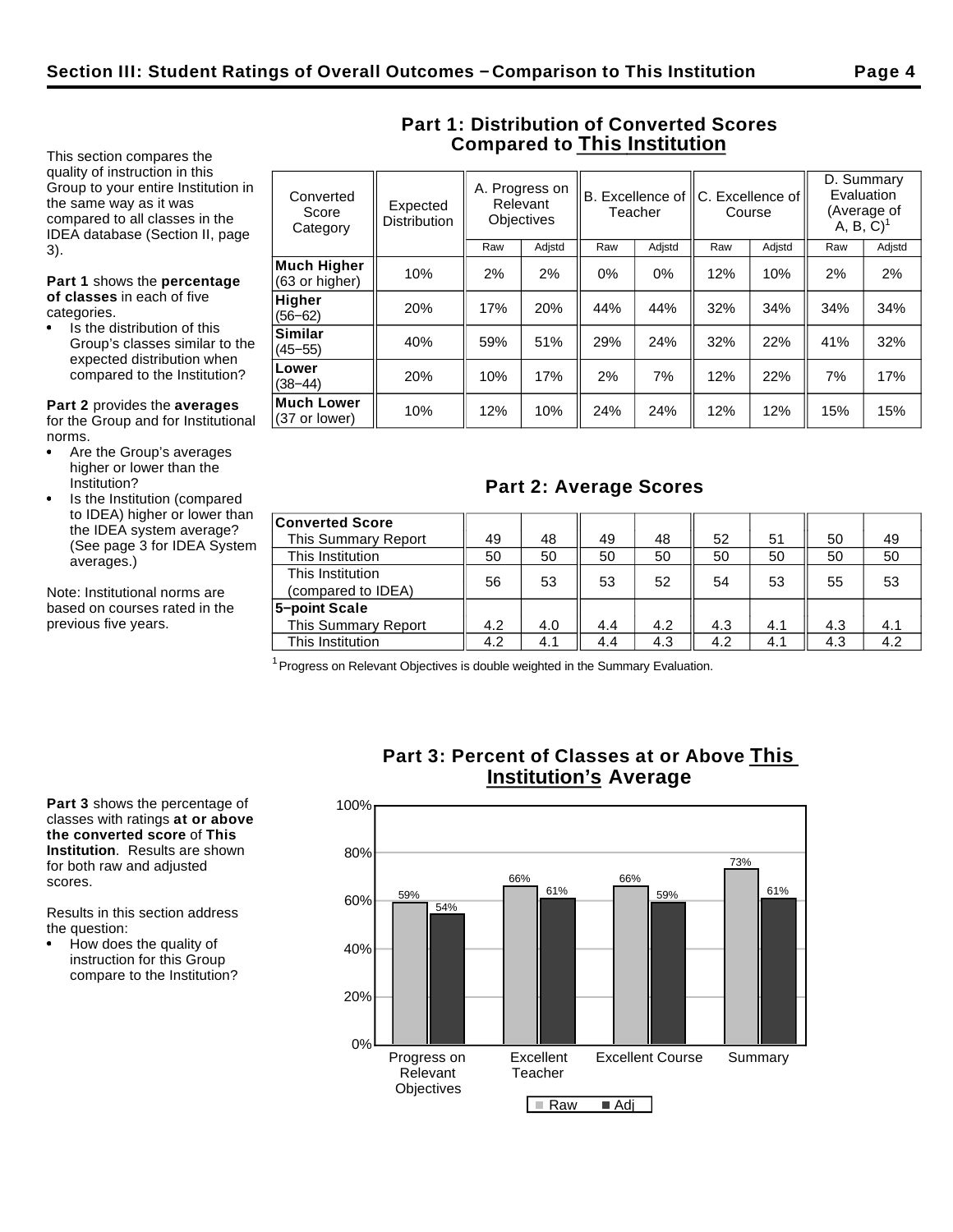This section compares the quality of instruction in this Group to your entire Institution in the same way as it was compared to all classes in the IDEA database (Section II, page 3).

**Part 1** shows the **percentage of classes** in each of five categories.

Is the distribution of this Group's classes similar to the expected distribution when compared to the Institution?

**Similar**

**Lower**<br>(38–44)

**Much Lower**

**Part 2** provides the **averages** for the Group and for Institutional norms.

- Are the Group's averages higher or lower than the Institution?
- Is the Institution (compared to IDEA) higher or lower than the IDEA system average? (See page 3 for IDEA System averages.)

Note: Institutional norms are based on courses rated in the previous five years.

| Converted<br>Score<br>Category       | A. Progress on<br>Relevant<br>Expected<br><b>Objectives</b><br><b>Distribution</b> |     | B. Excellence of C. Excellence of<br>Teacher |       | Course |     | D. Summary<br>Evaluation<br>A, B, C) | (Average of |        |
|--------------------------------------|------------------------------------------------------------------------------------|-----|----------------------------------------------|-------|--------|-----|--------------------------------------|-------------|--------|
|                                      |                                                                                    | Raw | Adjstd                                       | Raw   | Adjstd | Raw | Adjstd                               | Raw         | Adjstd |
| <b>Much Higher</b><br>(63 or higher) | 10%                                                                                | 2%  | 2%                                           | $0\%$ | $0\%$  | 12% | 10%                                  | 2%          | 2%     |
| <b>Higher</b><br>$(56 - 62)$         | 20%                                                                                | 17% | 20%                                          | 44%   | 44%    | 32% | 34%                                  | 34%         | 34%    |

(45−55) 40% 59% 51% 29% 24% 32% 22% 41% 32%

(38−44) 20% 10% 17% 2% 7% 12% 22% 7% 17%

**Muchi Lower**  $\begin{array}{|c|c|c|c|c|c|}\n\hline\n(37 \text{ or lower}) & 10\% & 12\% & 10\% & 24\% & 24\% & 12\% & 12\% & 12\% & 15\% \\
\hline\n\end{array}$ 

**Part 2: Average Scores**

This Summary Report  $\begin{array}{|c|c|c|c|c|c|c|c|c|} \hline 4.2 & 4.0 & 4.4 & 4.2 & 4.3 & 4.1 & 4.3 & 4.1 \\\hline \end{array}$ This Institution  $\parallel$  4.2  $\parallel$  4.1  $\parallel$  4.4  $\parallel$  4.3  $\parallel$  4.2  $\parallel$  4.1  $\parallel$  4.3  $\parallel$  4.2

## **Part 1: Distribution of Converted Scores Compared to This Institution**

| <b>Converted Score</b>                 |    |    |    |    |    |    |    |    |
|----------------------------------------|----|----|----|----|----|----|----|----|
| This Summary Report                    | 49 | 48 | 49 | 48 | 52 | 51 | 50 | 49 |
| This Institution                       | 50 | 50 | 50 | 50 | 50 | 50 | 50 | 50 |
| This Institution<br>(compared to IDEA) | 56 | 53 | 53 | 52 | 54 | 53 | 55 | 53 |
| 5-point Scale                          |    |    |    |    |    |    |    |    |

<sup>1</sup> Progress on Relevant Objectives is double weighted in the Summary Evaluation.

**Part 3** shows the percentage of classes with ratings **at or above the converted score** of **This Institution**. Results are shown for both raw and adjusted scores.

Results in this section address the question:

How does the quality of instruction for this Group compare to the Institution?

## **Part 3: Percent of Classes at or Above This Institution's Average**

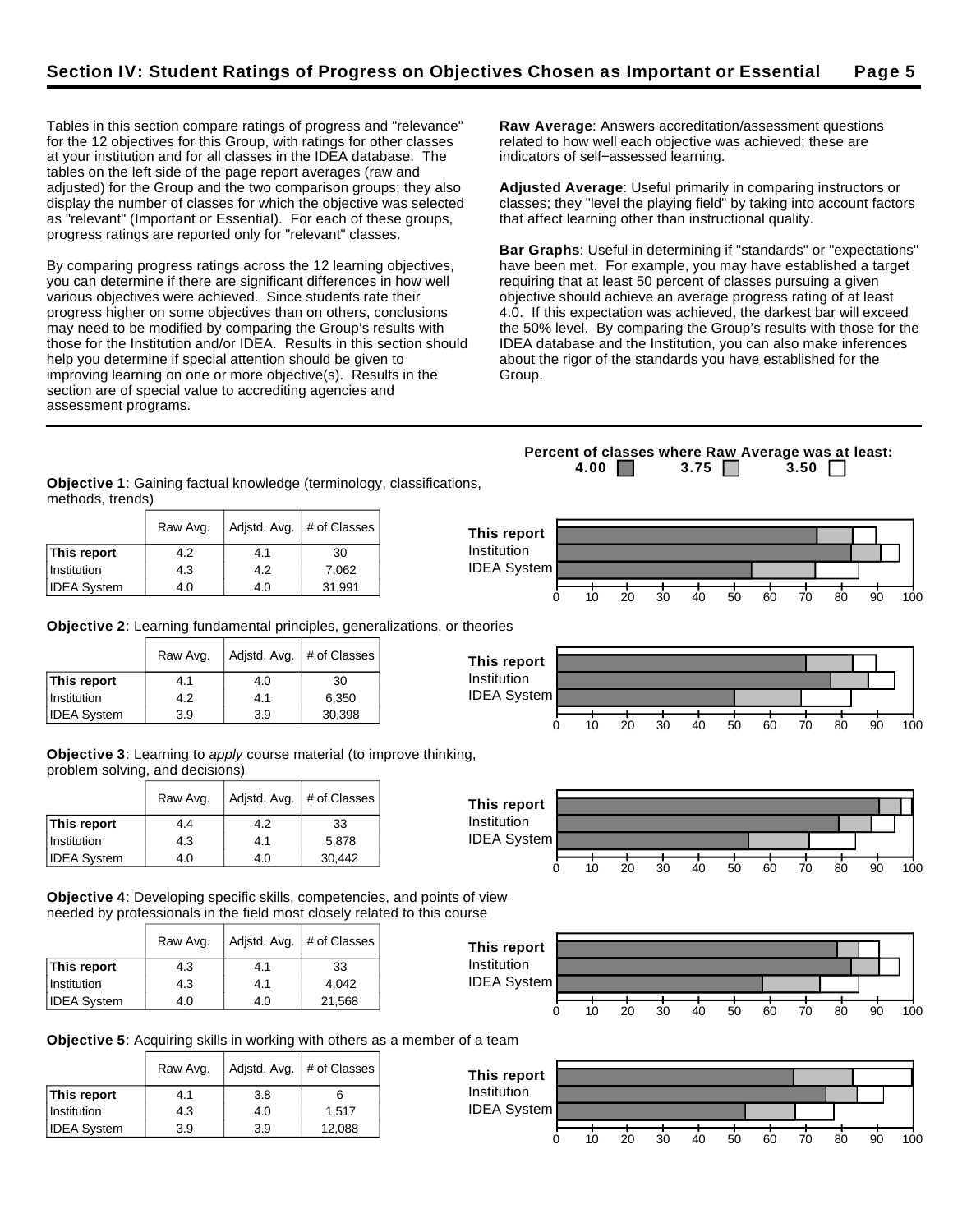Tables in this section compare ratings of progress and "relevance" for the 12 objectives for this Group, with ratings for other classes at your institution and for all classes in the IDEA database. The tables on the left side of the page report averages (raw and adjusted) for the Group and the two comparison groups; they also display the number of classes for which the objective was selected as "relevant" (Important or Essential). For each of these groups, progress ratings are reported only for "relevant" classes.

By comparing progress ratings across the 12 learning objectives, you can determine if there are significant differences in how well various objectives were achieved. Since students rate their progress higher on some objectives than on others, conclusions may need to be modified by comparing the Group's results with those for the Institution and/or IDEA. Results in this section should help you determine if special attention should be given to improving learning on one or more objective(s). Results in the section are of special value to accrediting agencies and assessment programs.

**Raw Average**: Answers accreditation/assessment questions related to how well each objective was achieved; these are indicators of self−assessed learning.

**Adjusted Average**: Useful primarily in comparing instructors or classes; they "level the playing field" by taking into account factors that affect learning other than instructional quality.

**Bar Graphs**: Useful in determining if "standards" or "expectations" have been met. For example, you may have established a target requiring that at least 50 percent of classes pursuing a given objective should achieve an average progress rating of at least 4.0. If this expectation was achieved, the darkest bar will exceed the 50% level. By comparing the Group's results with those for the IDEA database and the Institution, you can also make inferences about the rigor of the standards you have established for the Group.

**Objective 1**: Gaining factual knowledge (terminology, classifications, methods, trends)

|                    | Raw Avg. |     | Adjstd. Avg. $#$ of Classes | This report        |    |    |    |    |    |    |    |    |    |     |
|--------------------|----------|-----|-----------------------------|--------------------|----|----|----|----|----|----|----|----|----|-----|
| This report        | 4.2      | 4.1 | 30                          | Institution        |    |    |    |    |    |    |    |    |    |     |
| Institution        | 4.3      | 4.2 | 7,062                       | <b>IDEA System</b> |    |    |    |    |    |    |    |    |    |     |
| <b>IDEA System</b> | 4.0      | 4.0 | 31,991                      |                    | 10 | 20 | 30 | 40 | 50 | 60 | 70 | 80 | 90 | 100 |

**Objective 2**: Learning fundamental principles, generalizations, or theories

|                    | Raw Avg. | Adjstd. Avg. | # of Classes |
|--------------------|----------|--------------|--------------|
| This report        | 4.1      | 4.0          | 30           |
| Institution        | 4.2      | 4.1          | 6,350        |
| <b>IDEA System</b> | 3.9      | 3.9          | 30,398       |

**Objective 3**: Learning to apply course material (to improve thinking, problem solving, and decisions)

|                    | Raw Avg. |     | Adjstd. Avg.   # of Classes |
|--------------------|----------|-----|-----------------------------|
| This report        | 4.4      | 4.2 | 33                          |
| Institution        | 4.3      | 4.1 | 5,878                       |
| <b>IDEA System</b> | 4.0      | 4.0 | 30,442                      |

**Objective 4**: Developing specific skills, competencies, and points of view needed by professionals in the field most closely related to this course

|                    | Raw Avg. | Adjstd. Avg. | # of Classes |
|--------------------|----------|--------------|--------------|
| This report        | 4.3      | 4.1          | 33           |
| Institution        | 4.3      | 4.1          | 4.042        |
| <b>IDEA System</b> | 4.0      | 4.0          | 21,568       |



**Objective 5**: Acquiring skills in working with others as a member of a team

|                    | Raw Avg. | Adjstd. Avg. | # of Classes |
|--------------------|----------|--------------|--------------|
| This report        | 4.1      | 3.8          | 6            |
| Institution        | 4.3      | 4.0          | 1.517        |
| <b>IDEA System</b> | 3.9      | 3.9          | 12,088       |



**This report** Institution IDEA System 0 10 20 30 40 50 60 70 80 90 100



0 10 20 30 40 50 60 70 80 90 100

0 10 20 30 40 50 60 70 80 90 100

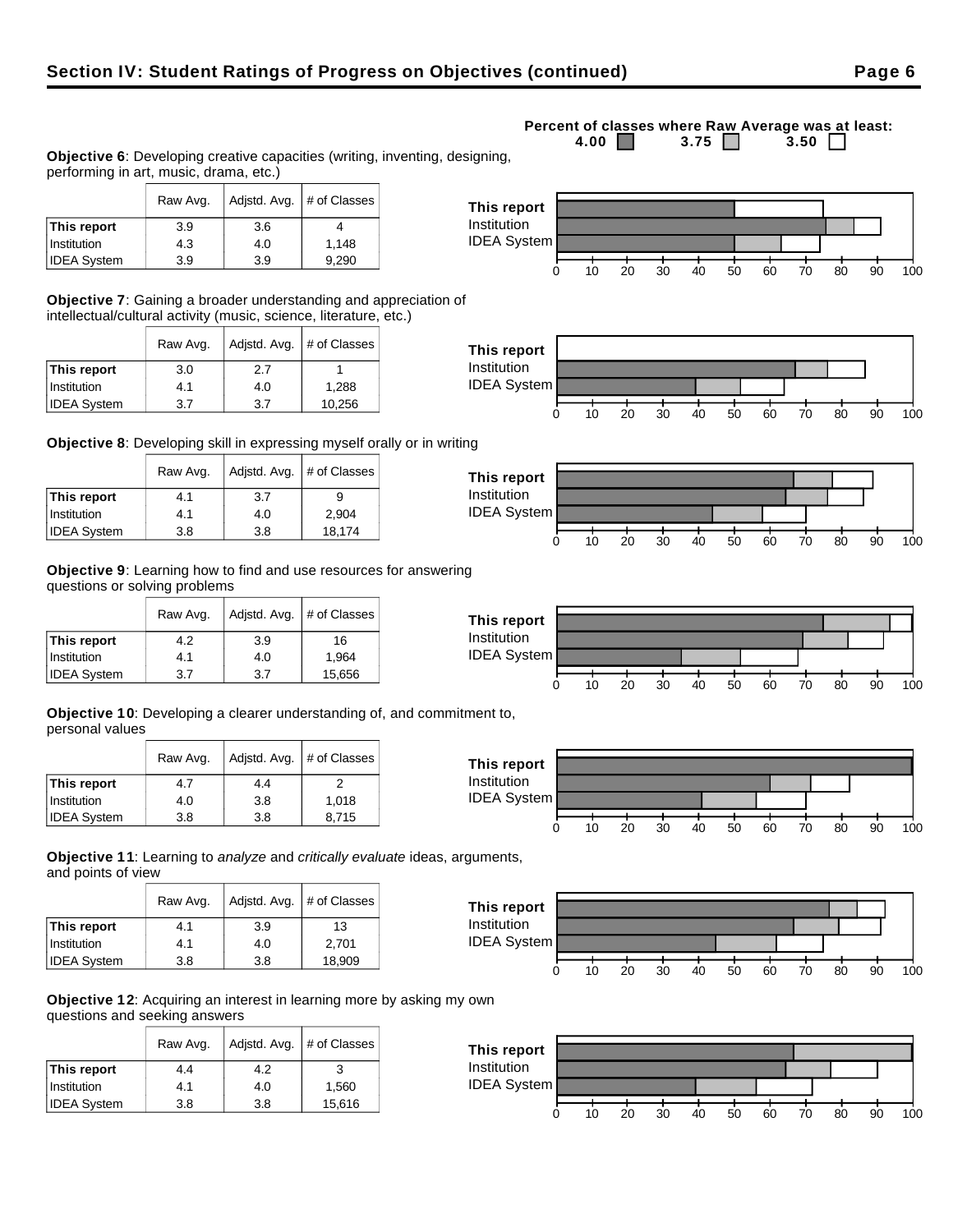**Objective 6**: Developing creative capacities (writing, inventing, designing, performing in art, music, drama, etc.)

|                    | Raw Avg. | Adjstd. Avg. $#$ of Classes |       |
|--------------------|----------|-----------------------------|-------|
| This report        | 3.9      | 3.6                         |       |
| Institution        | 4.3      | 4.0                         | 1.148 |
| <b>IDEA System</b> | 3.9      | 3.9                         | 9,290 |

**Objective 7**: Gaining a broader understanding and appreciation of intellectual/cultural activity (music, science, literature, etc.)

|                    | Adjstd. Avg.<br>Raw Avg. |     | # of Classes |
|--------------------|--------------------------|-----|--------------|
| This report        | 3.0                      | 2.7 |              |
| Institution        | 4.1                      | 4.0 | 1,288        |
| <b>IDEA System</b> | 3.7                      | 3.7 | 10,256       |

**Objective 8**: Developing skill in expressing myself orally or in writing

|                    | Raw Avg. | Adjstd. Avg.   # of Classes |        |
|--------------------|----------|-----------------------------|--------|
| This report        | 4.1      | 3.7                         |        |
| Institution        | 4.1      | 4.0                         | 2,904  |
| <b>IDEA System</b> | 3.8      | 3.8                         | 18,174 |

**Objective 9**: Learning how to find and use resources for answering questions or solving problems

|                    | Raw Avg. | Adjstd. Avg. | # of Classes |
|--------------------|----------|--------------|--------------|
| This report        | 4.2      | 3.9          | 16           |
| Institution        | 4.1      | 4.0          | 1,964        |
| <b>IDEA System</b> | 3.7      | 3.7          | 15,656       |

**Objective 10**: Developing a clearer understanding of, and commitment to, personal values

|                    | Adjstd. Avg.<br>Raw Avg. |     | # of Classes |
|--------------------|--------------------------|-----|--------------|
| This report        | 4.7                      | 44  | 2            |
| Institution        | 4.0                      | 3.8 | 1.018        |
| <b>IDEA System</b> | 3.8                      | 3.8 | 8,715        |

**Objective 11**: Learning to analyze and critically evaluate ideas, arguments, and points of view

|                    | Raw Avg. | Adjstd. Avg. | # of Classes |
|--------------------|----------|--------------|--------------|
| This report        | 4.1      | 3.9          | 13           |
| Institution        | 4.1      | 4.0          | 2.701        |
| <b>IDEA System</b> | 3.8      | 3.8          | 18,909       |

**Objective 12**: Acquiring an interest in learning more by asking my own questions and seeking answers

|                    | Raw Avg. | Adjstd. Avg. | # of Classes |
|--------------------|----------|--------------|--------------|
| This report        | 4.4      | 4.2          |              |
| Institution        | 4.1      | 4.0          | 1.560        |
| <b>IDEA System</b> | 3.8      | 3.8          | 15,616       |



**Percent of classes where Raw Average was at least:**<br>4.00 3.75 3.50 3.50 3.75  $\Box$ 











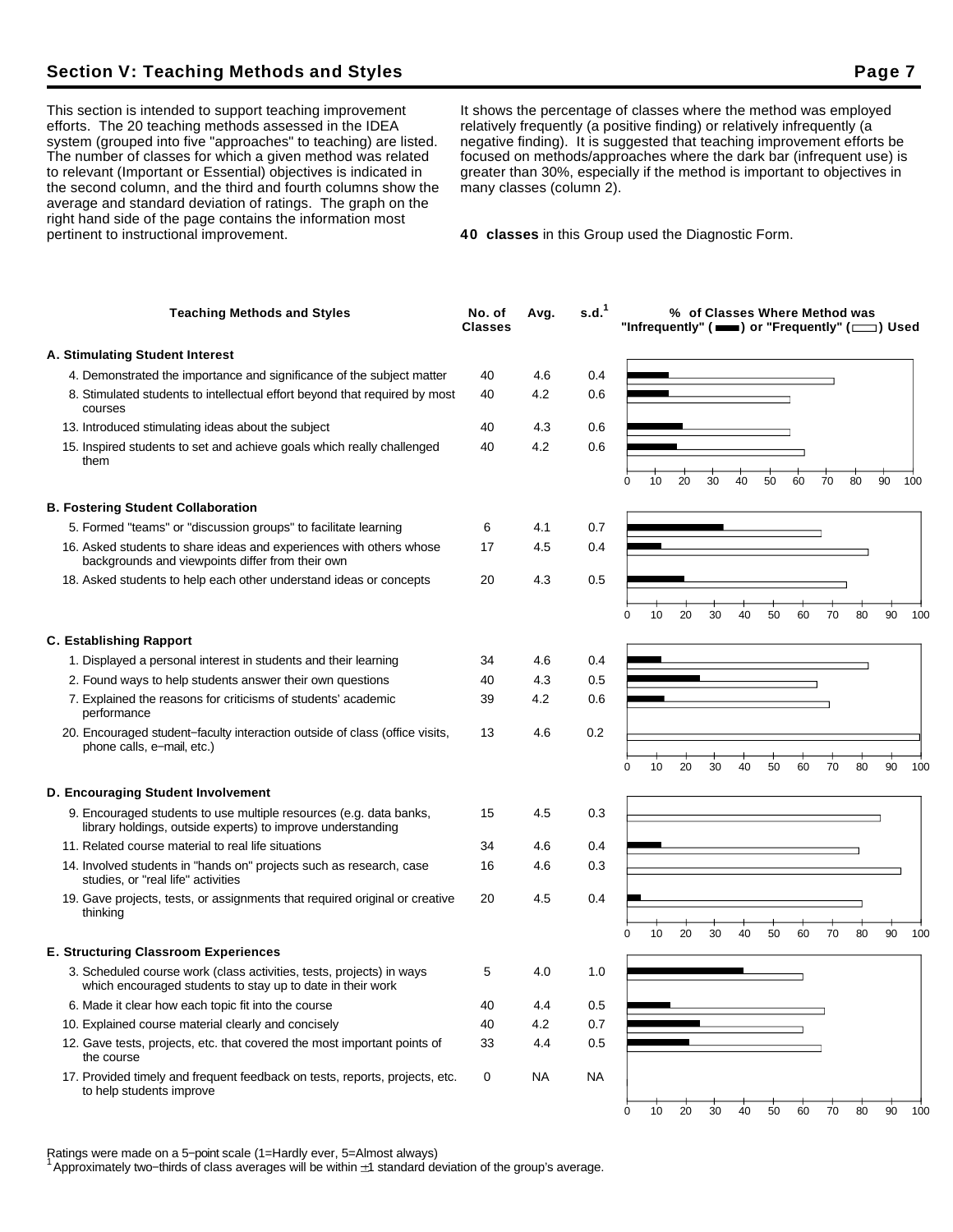## **Section V: Teaching Methods and Styles Page 7 Access Page 7 Access Page 7 Access Page 7**

This section is intended to support teaching improvement efforts. The 20 teaching methods assessed in the IDEA system (grouped into five "approaches" to teaching) are listed. The number of classes for which a given method was related to relevant (Important or Essential) objectives is indicated in the second column, and the third and fourth columns show the average and standard deviation of ratings. The graph on the right hand side of the page contains the information most pertinent to instructional improvement.

It shows the percentage of classes where the method was employed relatively frequently (a positive finding) or relatively infrequently (a negative finding). It is suggested that teaching improvement efforts be focused on methods/approaches where the dark bar (infrequent use) is greater than 30%, especially if the method is important to objectives in many classes (column 2).

**40 classes** in this Group used the Diagnostic Form.

| <b>Teaching Methods and Styles</b>                                                                                                                                                         | No. of<br><b>Classes</b> | Avg.       | s.d. <sup>1</sup> |   |    |    |    |    |    |    | % of Classes Where Method was |    | "Infrequently" ( $\equiv$ ) or "Frequently" ( $\equiv$ ) Used |     |
|--------------------------------------------------------------------------------------------------------------------------------------------------------------------------------------------|--------------------------|------------|-------------------|---|----|----|----|----|----|----|-------------------------------|----|---------------------------------------------------------------|-----|
| A. Stimulating Student Interest                                                                                                                                                            |                          |            |                   |   |    |    |    |    |    |    |                               |    |                                                               |     |
| 4. Demonstrated the importance and significance of the subject matter                                                                                                                      | 40                       | 4.6        | 0.4               |   |    |    |    |    |    |    |                               |    |                                                               |     |
| 8. Stimulated students to intellectual effort beyond that required by most<br>courses                                                                                                      | 40                       | 4.2        | 0.6               |   |    |    |    |    |    |    |                               |    |                                                               |     |
| 13. Introduced stimulating ideas about the subject                                                                                                                                         | 40                       | 4.3        | 0.6               |   |    |    |    |    |    |    |                               |    |                                                               |     |
| 15. Inspired students to set and achieve goals which really challenged<br>them                                                                                                             | 40                       | 4.2        | 0.6               | 0 | 10 | 20 | 30 | 40 | 50 | 60 | 70                            | 80 | 90                                                            | 100 |
|                                                                                                                                                                                            |                          |            |                   |   |    |    |    |    |    |    |                               |    |                                                               |     |
| <b>B. Fostering Student Collaboration</b>                                                                                                                                                  |                          |            |                   |   |    |    |    |    |    |    |                               |    |                                                               |     |
| 5. Formed "teams" or "discussion groups" to facilitate learning<br>16. Asked students to share ideas and experiences with others whose<br>backgrounds and viewpoints differ from their own | 6<br>17                  | 4.1<br>4.5 | 0.7<br>0.4        |   |    |    |    |    |    |    |                               |    |                                                               |     |
| 18. Asked students to help each other understand ideas or concepts                                                                                                                         | 20                       | 4.3        | 0.5               |   |    |    |    |    |    |    |                               |    |                                                               |     |
|                                                                                                                                                                                            |                          |            |                   | 0 | 10 | 20 | 30 | 40 | 50 | 60 | 70                            | 80 | 90                                                            | 100 |
| <b>C. Establishing Rapport</b>                                                                                                                                                             |                          |            |                   |   |    |    |    |    |    |    |                               |    |                                                               |     |
| 1. Displayed a personal interest in students and their learning                                                                                                                            | 34                       | 4.6        | 0.4               |   |    |    |    |    |    |    |                               |    |                                                               |     |
| 2. Found ways to help students answer their own questions                                                                                                                                  | 40                       | 4.3        | 0.5               |   |    |    |    |    |    |    |                               |    |                                                               |     |
| 7. Explained the reasons for criticisms of students' academic<br>performance                                                                                                               | 39                       | 4.2        | 0.6               |   |    |    |    |    |    |    |                               |    |                                                               |     |
| 20. Encouraged student-faculty interaction outside of class (office visits,<br>phone calls, e-mail, etc.)                                                                                  | 13                       | 4.6        | 0.2               | 0 | 10 | 20 | 30 | 40 | 50 | 60 | 70                            | 80 | 90                                                            | 100 |
| D. Encouraging Student Involvement                                                                                                                                                         |                          |            |                   |   |    |    |    |    |    |    |                               |    |                                                               |     |
| 9. Encouraged students to use multiple resources (e.g. data banks,<br>library holdings, outside experts) to improve understanding                                                          | 15                       | 4.5        | 0.3               |   |    |    |    |    |    |    |                               |    |                                                               |     |
| 11. Related course material to real life situations                                                                                                                                        | 34                       | 4.6        | 0.4               |   |    |    |    |    |    |    |                               |    |                                                               |     |
| 14. Involved students in "hands on" projects such as research, case<br>studies, or "real life" activities                                                                                  | 16                       | 4.6        | 0.3               |   |    |    |    |    |    |    |                               |    |                                                               |     |
| 19. Gave projects, tests, or assignments that required original or creative<br>thinking                                                                                                    | 20                       | 4.5        | 0.4               |   |    |    |    |    |    |    |                               |    |                                                               |     |
|                                                                                                                                                                                            |                          |            |                   |   | 10 | 20 | 30 | 40 | 50 | 60 | 70                            | 80 | 90                                                            | 100 |
| <b>E. Structuring Classroom Experiences</b>                                                                                                                                                |                          |            |                   |   |    |    |    |    |    |    |                               |    |                                                               |     |
| 3. Scheduled course work (class activities, tests, projects) in ways<br>which encouraged students to stay up to date in their work                                                         | 5                        | 4.0        | 1.0               |   |    |    |    |    |    |    |                               |    |                                                               |     |
| 6. Made it clear how each topic fit into the course                                                                                                                                        | 40                       | 4.4        | 0.5               |   |    |    |    |    |    |    |                               |    |                                                               |     |
| 10. Explained course material clearly and concisely                                                                                                                                        | 40                       | 4.2        | 0.7               |   |    |    |    |    |    |    |                               |    |                                                               |     |
| 12. Gave tests, projects, etc. that covered the most important points of<br>the course                                                                                                     | 33                       | 4.4        | 0.5               |   |    |    |    |    |    |    |                               |    |                                                               |     |
| 17. Provided timely and frequent feedback on tests, reports, projects, etc.<br>to help students improve                                                                                    | 0                        | NA         | <b>NA</b>         |   |    |    |    |    |    |    |                               |    |                                                               |     |
|                                                                                                                                                                                            |                          |            |                   | 0 | 10 | 20 | 30 | 40 | 50 | 60 | 70                            | 80 | 90                                                            | 100 |

Ratings were made on a 5−point scale (1=Hardly ever, 5=Almost always)

<sup>1</sup>Approximately two−thirds of class averages will be within 1 standard deviation of the group's average.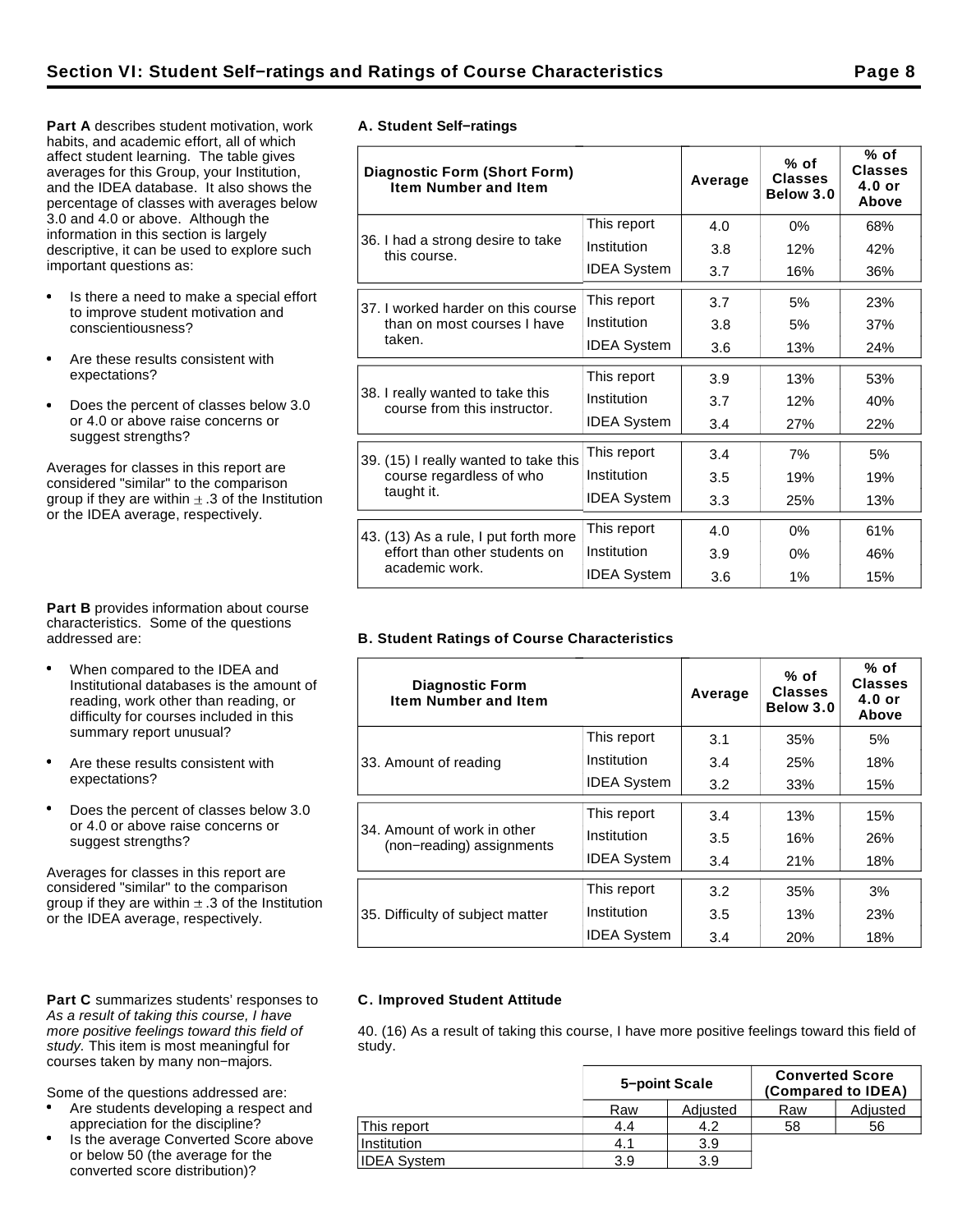**Part A** describes student motivation, work habits, and academic effort, all of which affect student learning. The table gives averages for this Group, your Institution, and the IDEA database. It also shows the percentage of classes with averages below 3.0 and 4.0 or above. Although the information in this section is largely descriptive, it can be used to explore such important questions as:

- Is there a need to make a special effort to improve student motivation and conscientiousness?
- Are these results consistent with expectations?
- Does the percent of classes below 3.0  $\bullet$ or 4.0 or above raise concerns or suggest strengths?

Averages for classes in this report are considered "similar" to the comparison group if they are within  $\pm$  .3 of the Institution or the IDEA average, respectively.

**Part B** provides information about course characteristics. Some of the questions addressed are:

- When compared to the IDEA and Institutional databases is the amount of reading, work other than reading, or difficulty for courses included in this summary report unusual?
- Are these results consistent with expectations?
- Does the percent of classes below 3.0 or 4.0 or above raise concerns or suggest strengths?

Averages for classes in this report are considered "similar" to the comparison group if they are within  $\pm$  .3 of the Institution or the IDEA average, respectively.

#### Part C summarizes students' responses to As a result of taking this course, I have more positive feelings toward this field of study. This item is most meaningful for courses taken by many non−majors.

Some of the questions addressed are:

- Are students developing a respect and appreciation for the discipline?
- Is the average Converted Score above or below 50 (the average for the converted score distribution)?

|  | A. Student Self-ratings |
|--|-------------------------|

| <b>Diagnostic Form (Short Form)</b><br><b>Item Number and Item</b> |                    | Average | $%$ of<br><b>Classes</b><br>Below 3.0 | % of<br><b>Classes</b><br>$4.0$ or<br>Above |
|--------------------------------------------------------------------|--------------------|---------|---------------------------------------|---------------------------------------------|
|                                                                    | This report        | 4.0     | 0%                                    | 68%                                         |
| 36. I had a strong desire to take<br>this course.                  | Institution        | 3.8     | 12%                                   | 42%                                         |
|                                                                    | <b>IDEA System</b> | 3.7     | 16%                                   | 36%                                         |
| 37. I worked harder on this course                                 | This report        | 3.7     | 5%                                    | 23%                                         |
| than on most courses I have                                        | Institution        | 3.8     | 5%                                    | 37%                                         |
| taken.                                                             | <b>IDEA System</b> | 3.6     | 13%                                   | 24%                                         |
|                                                                    | This report        | 3.9     | 13%                                   | 53%                                         |
| 38. I really wanted to take this<br>course from this instructor.   | Institution        | 3.7     | 12%                                   | 40%                                         |
|                                                                    | <b>IDEA System</b> | 3.4     | 27%                                   | 22%                                         |
| 39. (15) I really wanted to take this                              | This report        | 3.4     | 7%                                    | 5%                                          |
| course regardless of who                                           | Institution        | 3.5     | 19%                                   | 19%                                         |
| taught it.                                                         | <b>IDEA System</b> | 3.3     | 25%                                   | 13%                                         |
| 43. (13) As a rule, I put forth more                               | This report        | 4.0     | 0%                                    | 61%                                         |
| effort than other students on                                      | Institution        | 3.9     | 0%                                    | 46%                                         |
| academic work.                                                     | <b>IDEA System</b> | 3.6     | 1%                                    | 15%                                         |

## **B. Student Ratings of Course Characteristics**

| <b>Diagnostic Form</b><br><b>Item Number and Item</b>    |                    | Average | $%$ of<br><b>Classes</b><br>Below 3.0 | % of<br><b>Classes</b><br>$4.0$ or<br>Above |
|----------------------------------------------------------|--------------------|---------|---------------------------------------|---------------------------------------------|
|                                                          | This report        | 3.1     | 35%                                   | 5%                                          |
| 33. Amount of reading                                    | Institution        | 3.4     | 25%                                   | 18%                                         |
|                                                          | <b>IDEA System</b> | 3.2     | 33%                                   | 15%                                         |
|                                                          | This report        | 3.4     | 13%                                   | 15%                                         |
| 34. Amount of work in other<br>(non-reading) assignments | Institution        | 3.5     | 16%                                   | 26%                                         |
|                                                          | <b>IDEA System</b> | 3.4     | 21%                                   | 18%                                         |
|                                                          | This report        | 3.2     | 35%                                   | 3%                                          |
| 35. Difficulty of subject matter                         | Institution        | 3.5     | 13%                                   | 23%                                         |
|                                                          | <b>IDEA System</b> | 3.4     | 20%                                   | 18%                                         |

## **C. Improved Student Attitude**

40. (16) As a result of taking this course, I have more positive feelings toward this field of study.

|                    | 5-point Scale |          | <b>Converted Score</b> | (Compared to IDEA) |
|--------------------|---------------|----------|------------------------|--------------------|
|                    | Raw           | Adjusted | Raw                    | Adjusted           |
| This report        | 4.4           | 4.2      | 58                     | 56                 |
| Institution        | 4.1           | 3.9      |                        |                    |
| <b>IDEA System</b> | 3.9           | 3.9      |                        |                    |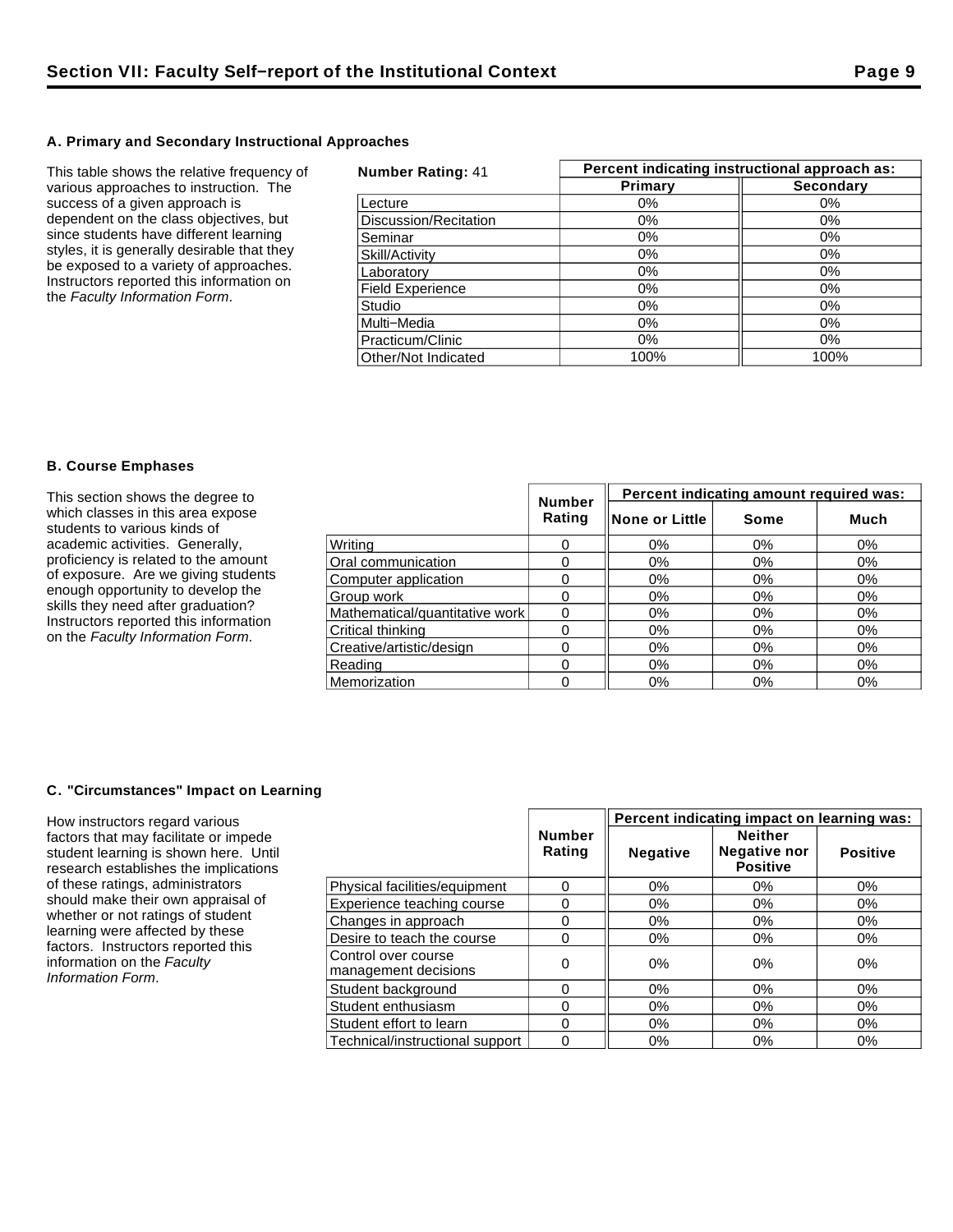## **A. Primary and Secondary Instructional Approaches**

This table shows the relative frequency of various approaches to instruction. The success of a given approach is dependent on the class objectives, but since students have different learning styles, it is generally desirable that they be exposed to a variety of approaches. Instructors reported this information on the Faculty Information Form.

| <b>Number Rating: 41</b> | Percent indicating instructional approach as: |                  |  |  |  |
|--------------------------|-----------------------------------------------|------------------|--|--|--|
|                          | Primary                                       | <b>Secondary</b> |  |  |  |
| Lecture                  | $0\%$                                         | $0\%$            |  |  |  |
| Discussion/Recitation    | $0\%$                                         | $0\%$            |  |  |  |
| Seminar                  | 0%                                            | 0%               |  |  |  |
| Skill/Activity           | $0\%$                                         | 0%               |  |  |  |
| Laboratory               | 0%                                            | 0%               |  |  |  |
| <b>Field Experience</b>  | 0%                                            | 0%               |  |  |  |
| Studio                   | $0\%$                                         | $0\%$            |  |  |  |
| Multi-Media              | $0\%$                                         | $0\%$            |  |  |  |
| Practicum/Clinic         | $0\%$                                         | $0\%$            |  |  |  |
| Other/Not Indicated      | 100%                                          | 100%             |  |  |  |

#### **B. Course Emphases**

| This section shows the degree to                                                                                                                                                                                                                                       | <b>Number</b>                  | Percent indicating amount required was: |                 |       |       |
|------------------------------------------------------------------------------------------------------------------------------------------------------------------------------------------------------------------------------------------------------------------------|--------------------------------|-----------------------------------------|-----------------|-------|-------|
| which classes in this area expose<br>students to various kinds of                                                                                                                                                                                                      |                                | Rating                                  | ∥None or Little | Some  | Much  |
| academic activities. Generally,<br>proficiency is related to the amount<br>of exposure. Are we giving students<br>enough opportunity to develop the<br>skills they need after graduation?<br>Instructors reported this information<br>on the Faculty Information Form. | Writina                        |                                         | 0%              | 0%    | 0%    |
|                                                                                                                                                                                                                                                                        | Oral communication             |                                         | 0%              | 0%    | 0%    |
|                                                                                                                                                                                                                                                                        | Computer application           |                                         | $0\%$           | 0%    | 0%    |
|                                                                                                                                                                                                                                                                        | Group work                     |                                         | 0%              | $0\%$ | $0\%$ |
|                                                                                                                                                                                                                                                                        | Mathematical/quantitative work |                                         | 0%              | $0\%$ | 0%    |
|                                                                                                                                                                                                                                                                        | Critical thinking              |                                         | 0%              | 0%    | $0\%$ |
|                                                                                                                                                                                                                                                                        | Creative/artistic/design       |                                         | 0%              | 0%    | 0%    |
|                                                                                                                                                                                                                                                                        | Reading                        |                                         | 0%              | $0\%$ | 0%    |
|                                                                                                                                                                                                                                                                        | Memorization                   |                                         | 0%              | $0\%$ | 0%    |

## **C. "Circumstances" Impact on Learning**

How instructors regard various factors that may facilitate or impede student learning is shown here. Until research establishes the implications of these ratings, administrators should make their own appraisal of whether or not ratings of student learning were affected by these factors. Instructors reported this information on the Faculty Information Form.

|                                             |                         | Percent indicating impact on learning was: |                                                          |                 |  |
|---------------------------------------------|-------------------------|--------------------------------------------|----------------------------------------------------------|-----------------|--|
|                                             | <b>Number</b><br>Rating | <b>Negative</b>                            | <b>Neither</b><br><b>Negative nor</b><br><b>Positive</b> | <b>Positive</b> |  |
| Physical facilities/equipment               | 0                       | $0\%$                                      | $0\%$                                                    | 0%              |  |
| Experience teaching course                  | 0                       | $0\%$                                      | 0%                                                       | 0%              |  |
| Changes in approach                         | 0                       | $0\%$                                      | 0%                                                       | 0%              |  |
| Desire to teach the course                  | 0                       | $0\%$                                      | 0%                                                       | $0\%$           |  |
| Control over course<br>management decisions | 0                       | 0%                                         | 0%                                                       | 0%              |  |
| Student background                          | 0                       | $0\%$                                      | 0%                                                       | $0\%$           |  |
| Student enthusiasm                          | 0                       | $0\%$                                      | 0%                                                       | 0%              |  |
| Student effort to learn                     | 0                       | 0%                                         | 0%                                                       | 0%              |  |
| Technical/instructional support             | 0                       | 0%                                         | $0\%$                                                    | 0%              |  |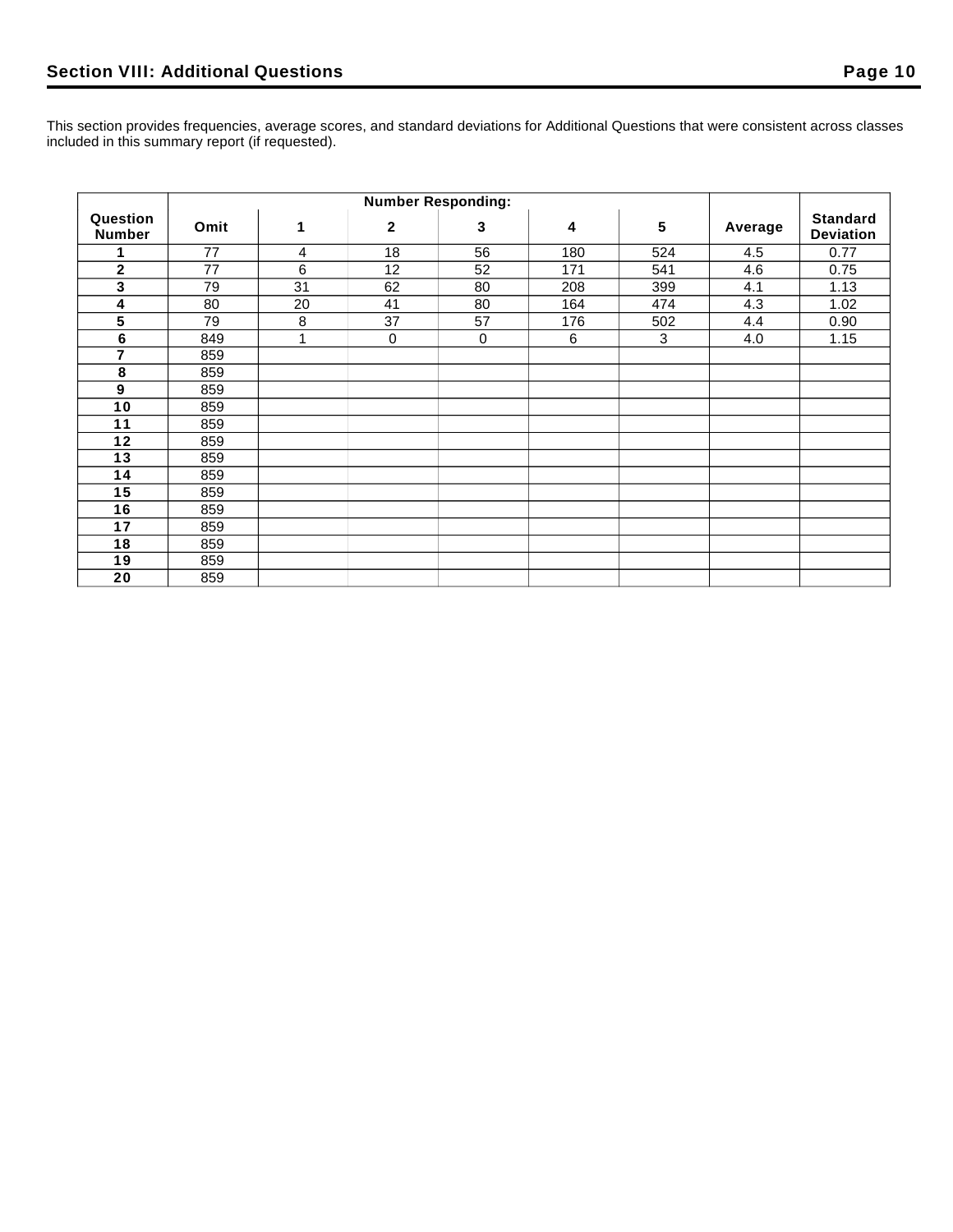This section provides frequencies, average scores, and standard deviations for Additional Questions that were consistent across classes included in this summary report (if requested).

|                           | <b>Number Responding:</b> |    |              |             |     |                 |         |                                     |
|---------------------------|---------------------------|----|--------------|-------------|-----|-----------------|---------|-------------------------------------|
| Question<br><b>Number</b> | Omit                      | 1  | $\mathbf{2}$ | 3           | 4   | $5\phantom{.0}$ | Average | <b>Standard</b><br><b>Deviation</b> |
|                           | 77                        | 4  | 18           | 56          | 180 | 524             | 4.5     | 0.77                                |
| $\mathbf 2$               | 77                        | 6  | 12           | 52          | 171 | 541             | 4.6     | 0.75                                |
| 3                         | 79                        | 31 | 62           | 80          | 208 | 399             | 4.1     | 1.13                                |
| 4                         | 80                        | 20 | 41           | 80          | 164 | 474             | 4.3     | 1.02                                |
| 5                         | 79                        | 8  | 37           | 57          | 176 | 502             | 4.4     | 0.90                                |
| $\bf 6$                   | 849                       | 1  | $\pmb{0}$    | $\mathbf 0$ | 6   | $\mathbf{3}$    | 4.0     | 1.15                                |
| $\overline{7}$            | 859                       |    |              |             |     |                 |         |                                     |
| 8                         | 859                       |    |              |             |     |                 |         |                                     |
| 9                         | 859                       |    |              |             |     |                 |         |                                     |
| 10                        | 859                       |    |              |             |     |                 |         |                                     |
| 11                        | 859                       |    |              |             |     |                 |         |                                     |
| 12                        | 859                       |    |              |             |     |                 |         |                                     |
| 13                        | 859                       |    |              |             |     |                 |         |                                     |
| 14                        | 859                       |    |              |             |     |                 |         |                                     |
| 15                        | 859                       |    |              |             |     |                 |         |                                     |
| 16                        | 859                       |    |              |             |     |                 |         |                                     |
| 17                        | 859                       |    |              |             |     |                 |         |                                     |
| 18                        | 859                       |    |              |             |     |                 |         |                                     |
| 19                        | 859                       |    |              |             |     |                 |         |                                     |
| 20                        | 859                       |    |              |             |     |                 |         |                                     |